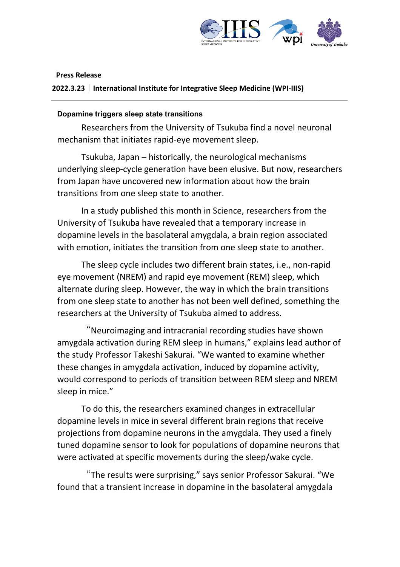

## **Press Release**

**2022.3.23|International Institute for Integrative Sleep Medicine (WPI-IIIS)**

## **Dopamine triggers sleep state transitions**

Researchers from the University of Tsukuba find a novel neuronal mechanism that initiates rapid-eye movement sleep.

Tsukuba, Japan – historically, the neurological mechanisms underlying sleep-cycle generation have been elusive. But now, researchers from Japan have uncovered new information about how the brain transitions from one sleep state to another.

In a study published this month in Science, researchers from the University of Tsukuba have revealed that a temporary increase in dopamine levels in the basolateral amygdala, a brain region associated with emotion, initiates the transition from one sleep state to another.

The sleep cycle includes two different brain states, i.e., non-rapid eye movement (NREM) and rapid eye movement (REM) sleep, which alternate during sleep. However, the way in which the brain transitions from one sleep state to another has not been well defined, something the researchers at the University of Tsukuba aimed to address.

"Neuroimaging and intracranial recording studies have shown amygdala activation during REM sleep in humans," explains lead author of the study Professor Takeshi Sakurai. "We wanted to examine whether these changes in amygdala activation, induced by dopamine activity, would correspond to periods of transition between REM sleep and NREM sleep in mice."

To do this, the researchers examined changes in extracellular dopamine levels in mice in several different brain regions that receive projections from dopamine neurons in the amygdala. They used a finely tuned dopamine sensor to look for populations of dopamine neurons that were activated at specific movements during the sleep/wake cycle.

"The results were surprising," says senior Professor Sakurai. "We found that a transient increase in dopamine in the basolateral amygdala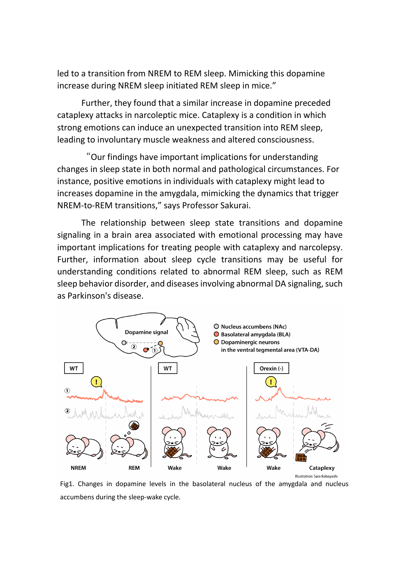led to a transition from NREM to REM sleep. Mimicking this dopamine increase during NREM sleep initiated REM sleep in mice."

Further, they found that a similar increase in dopamine preceded cataplexy attacks in narcoleptic mice. Cataplexy is a condition in which strong emotions can induce an unexpected transition into REM sleep, leading to involuntary muscle weakness and altered consciousness.

"Our findings have important implications for understanding changes in sleep state in both normal and pathological circumstances. For instance, positive emotions in individuals with cataplexy might lead to increases dopamine in the amygdala, mimicking the dynamics that trigger NREM-to-REM transitions," says Professor Sakurai.

The relationship between sleep state transitions and dopamine signaling in a brain area associated with emotional processing may have important implications for treating people with cataplexy and narcolepsy. Further, information about sleep cycle transitions may be useful for understanding conditions related to abnormal REM sleep, such as REM sleep behavior disorder, and diseases involving abnormal DA signaling, such as Parkinson's disease.



Fig1. Changes in dopamine levels in the basolateral nucleus of the amygdala and nucleus accumbens during the sleep-wake cycle.